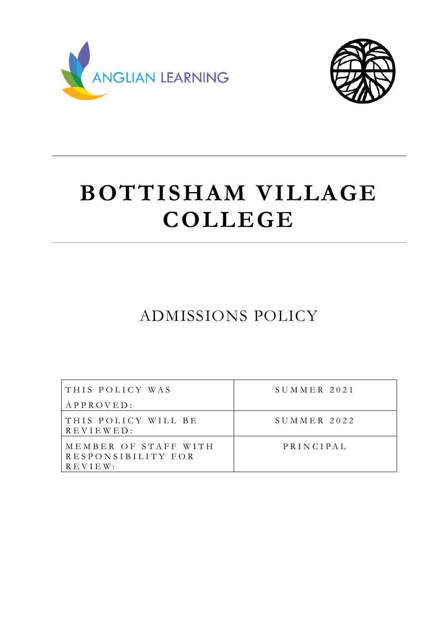



# **BOTTISHAM VILLAGE COLLEGE**

ADMISSIONS POLICY

| THIS POLICY WAS<br>APPROVED:                                  | $SUMMER$ 2021 |
|---------------------------------------------------------------|---------------|
| THIS POLICY WILL BE<br>REVIEWED:                              | $SUMMER$ 2022 |
| MEMBER OF STAFF WITH<br>RESPONSIBILITY FOR<br>$R E V I E W$ : | PRINCIPAL     |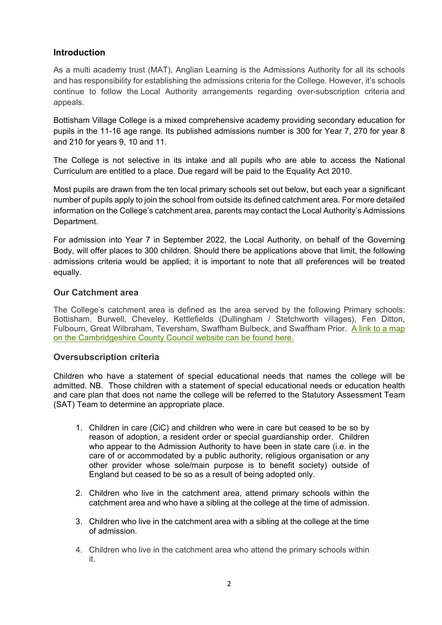## **Introduction**

As a multi academy trust (MAT), Anglian Learning is the Admissions Authority for all its schools and has responsibility for establishing the admissions criteria for the College. However, it's schools continue to follow the Local Authority arrangements regarding over-subscription criteria and appeals.

Bottisham Village College is a mixed comprehensive academy providing secondary education for pupils in the 11-16 age range. Its published admissions number is 300 for Year 7, 270 for year 8 and 210 for years 9, 10 and 11.

The College is not selective in its intake and all pupils who are able to access the National Curriculum are entitled to a place. Due regard will be paid to the Equality Act 2010.

Most pupils are drawn from the ten local primary schools set out below, but each year a significant number of pupils apply to join the school from outside its defined catchment area. For more detailed information on the College's catchment area, parents may contact the Local Authority's Admissions Department.

For admission into Year 7 in September 2022, the Local Authority, on behalf of the Governing Body, will offer places to 300 children. Should there be applications above that limit, the following admissions criteria would be applied; it is important to note that all preferences will be treated equally.

#### **Our Catchment area**

The College's catchment area is defined as the area served by the following Primary schools: Bottisham, Burwell, Cheveley, Kettlefields (Dullingham / Stetchworth villages), Fen Ditton, Fulbourn, Great Wilbraham, Teversham, Swaffham Bulbeck, and Swaffham Prior. A link to a map on the Cambridgeshire County Council website can be found here.

## **Oversubscription criteria**

Children who have a statement of special educational needs that names the college will be admitted. NB. Those children with a statement of special educational needs or education health and care plan that does not name the college will be referred to the Statutory Assessment Team (SAT) Team to determine an appropriate place.

- 1. Children in care (CiC) and children who were in care but ceased to be so by reason of adoption, a resident order or special guardianship order. Children who appear to the Admission Authority to have been in state care (i.e. in the care of or accommodated by a public authority, religious organisation or any other provider whose sole/main purpose is to benefit society) outside of England but ceased to be so as a result of being adopted only.
- 2. Children who live in the catchment area, attend primary schools within the catchment area and who have a sibling at the college at the time of admission.
- 3. Children who live in the catchment area with a sibling at the college at the time of admission.
- 4. Children who live in the catchment area who attend the primary schools within it.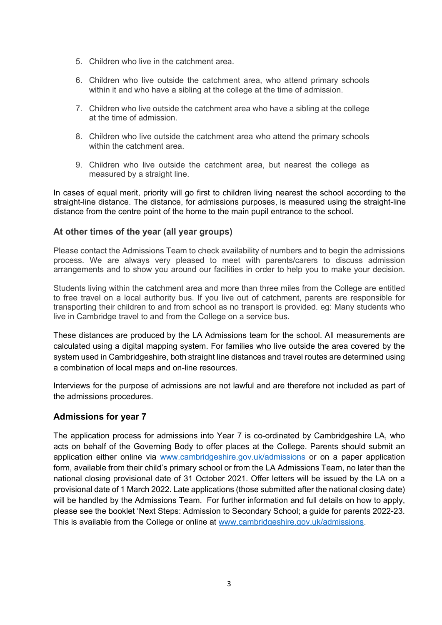- 5. Children who live in the catchment area.
- 6. Children who live outside the catchment area, who attend primary schools within it and who have a sibling at the college at the time of admission.
- 7. Children who live outside the catchment area who have a sibling at the college at the time of admission.
- 8. Children who live outside the catchment area who attend the primary schools within the catchment area.
- 9. Children who live outside the catchment area, but nearest the college as measured by a straight line.

In cases of equal merit, priority will go first to children living nearest the school according to the straight-line distance. The distance, for admissions purposes, is measured using the straight-line distance from the centre point of the home to the main pupil entrance to the school.

#### **At other times of the year (all year groups)**

Please contact the Admissions Team to check availability of numbers and to begin the admissions process. We are always very pleased to meet with parents/carers to discuss admission arrangements and to show you around our facilities in order to help you to make your decision.

Students living within the catchment area and more than three miles from the College are entitled to free travel on a local authority bus. If you live out of catchment, parents are responsible for transporting their children to and from school as no transport is provided. eg: Many students who live in Cambridge travel to and from the College on a service bus.

These distances are produced by the LA Admissions team for the school. All measurements are calculated using a digital mapping system. For families who live outside the area covered by the system used in Cambridgeshire, both straight line distances and travel routes are determined using a combination of local maps and on-line resources.

Interviews for the purpose of admissions are not lawful and are therefore not included as part of the admissions procedures.

## **Admissions for year 7**

The application process for admissions into Year 7 is co-ordinated by Cambridgeshire LA, who acts on behalf of the Governing Body to offer places at the College. Parents should submit an application either online via www.cambridgeshire.gov.uk/admissions or on a paper application form, available from their child's primary school or from the LA Admissions Team, no later than the national closing provisional date of 31 October 2021. Offer letters will be issued by the LA on a provisional date of 1 March 2022. Late applications (those submitted after the national closing date) will be handled by the Admissions Team. For further information and full details on how to apply, please see the booklet 'Next Steps: Admission to Secondary School; a guide for parents 2022-23. This is available from the College or online at www.cambridgeshire.gov.uk/admissions.